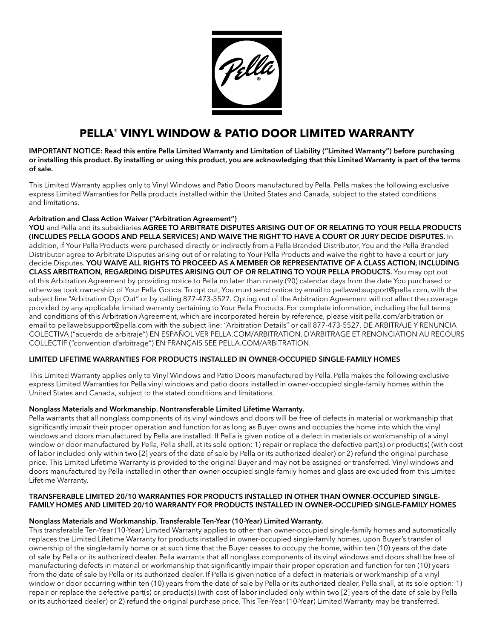

# **PELLA**® **VINYL WINDOW & PATIO DOOR LIMITED WARRANTY**

IMPORTANT NOTICE: Read this entire Pella Limited Warranty and Limitation of Liability ("Limited Warranty") before purchasing or installing this product. By installing or using this product, you are acknowledging that this Limited Warranty is part of the terms of sale.

This Limited Warranty applies only to Vinyl Windows and Patio Doors manufactured by Pella. Pella makes the following exclusive express Limited Warranties for Pella products installed within the United States and Canada, subject to the stated conditions and limitations.

# Arbitration and Class Action Waiver ("Arbitration Agreement")

 otherwise took ownership of Your Pella Goods. To opt out, You must send notice by email to [pellawebsupport@pella.com,](mailto:pellawebsupport@pella.com) with the YOU and Pella and its subsidiaries AGREE TO ARBITRATE DISPUTES ARISING OUT OF OR RELATING TO YOUR PELLA PRODUCTS (INCLUDES PELLA GOODS AND PELLA SERVICES) AND WAIVE THE RIGHT TO HAVE A COURT OR JURY DECIDE DISPUTES. In addition, if Your Pella Products were purchased directly or indirectly from a Pella Branded Distributor, You and the Pella Branded Distributor agree to Arbitrate Disputes arising out of or relating to Your Pella Products and waive the right to have a court or jury decide Disputes. YOU WAIVE ALL RIGHTS TO PROCEED AS A MEMBER OR REPRESENTATIVE OF A CLASS ACTION, INCLUDING CLASS ARBITRATION, REGARDING DISPUTES ARISING OUT OF OR RELATING TO YOUR PELLA PRODUCTS. You may opt out of this Arbitration Agreement by providing notice to Pella no later than ninety (90) calendar days from the date You purchased or subject line "Arbitration Opt Out" or by calling 877-473-5527. Opting out of the Arbitration Agreement will not affect the coverage provided by any applicable limited warranty pertaining to Your Pella Products. For complete information, including the full terms and conditions of this Arbitration Agreement, which are incorporated herein by reference, please visit [pella.com/arbitration](https://pella.com/arbitration) or email to [pellawebsupport@pella.com](mailto:pellawebsupport@pella.com) with the subject line: "Arbitration Details" or call 877-473-5527. DE ARBITRAJE Y RENUNCIA COLECTIVA ("acuerdo de arbitraje") EN ESPAÑOL VER [PELLA.COM/ARBITRATION.](https://PELLA.COM/ARBITRATION) D'ARBITRAGE ET RENONCIATION AU RECOURS COLLECTIF ("convention d'arbitrage") EN FRANÇAIS SEE [PELLA.COM/ARBITRATION](https://PELLA.COM/ARBITRATION).

## LIMITED LIFETIME WARRANTIES FOR PRODUCTS INSTALLED IN OWNER-OCCUPIED SINGLE-FAMILY HOMES

This Limited Warranty applies only to Vinyl Windows and Patio Doors manufactured by Pella. Pella makes the following exclusive express Limited Warranties for Pella vinyl windows and patio doors installed in owner-occupied single-family homes within the United States and Canada, subject to the stated conditions and limitations.

## Nonglass Materials and Workmanship. Nontransferable Limited Lifetime Warranty.

Pella warrants that all nonglass components of its vinyl windows and doors will be free of defects in material or workmanship that significantly impair their proper operation and function for as long as Buyer owns and occupies the home into which the vinyl windows and doors manufactured by Pella are installed. If Pella is given notice of a defect in materials or workmanship of a vinyl window or door manufactured by Pella, Pella shall, at its sole option: 1) repair or replace the defective part(s) or product(s) (with cost of labor included only within two [2] years of the date of sale by Pella or its authorized dealer) or 2) refund the original purchase price. This Limited Lifetime Warranty is provided to the original Buyer and may not be assigned or transferred. Vinyl windows and doors manufactured by Pella installed in other than owner-occupied single-family homes and glass are excluded from this Limited Lifetime Warranty.

## TRANSFERABLE LIMITED 20/10 WARRANTIES FOR PRODUCTS INSTALLED IN OTHER THAN OWNER-OCCUPIED SINGLE-FAMILY HOMES AND LIMITED 20/10 WARRANTY FOR PRODUCTS INSTALLED IN OWNER-OCCUPIED SINGLE-FAMILY HOMES

## Nonglass Materials and Workmanship. Transferable Ten-Year (10-Year) Limited Warranty.

This transferable Ten-Year (10-Year) Limited Warranty applies to other than owner-occupied single-family homes and automatically replaces the Limited Lifetime Warranty for products installed in owner-occupied single-family homes, upon Buyer's transfer of ownership of the single-family home or at such time that the Buyer ceases to occupy the home, within ten (10) years of the date of sale by Pella or its authorized dealer. Pella warrants that all nonglass components of its vinyl windows and doors shall be free of manufacturing defects in material or workmanship that signifcantly impair their proper operation and function for ten (10) years from the date of sale by Pella or its authorized dealer. If Pella is given notice of a defect in materials or workmanship of a vinyl window or door occurring within ten (10) years from the date of sale by Pella or its authorized dealer, Pella shall, at its sole option: 1) repair or replace the defective part(s) or product(s) (with cost of labor included only within two [2] years of the date of sale by Pella or its authorized dealer) or 2) refund the original purchase price. This Ten-Year (10-Year) Limited Warranty may be transferred.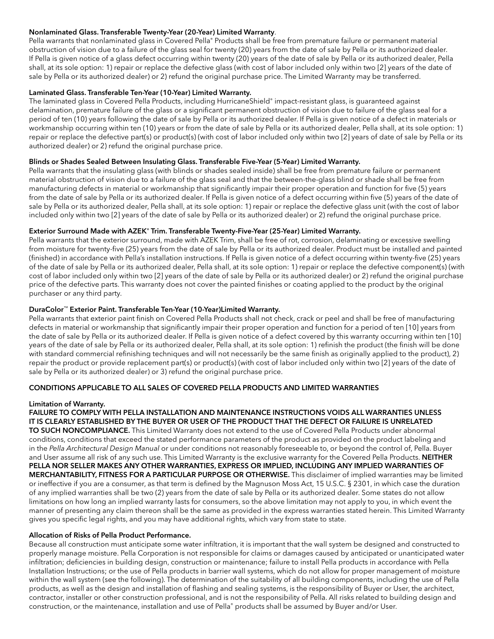## Nonlaminated Glass. Transferable Twenty-Year (20-Year) Limited Warranty.

Pella warrants that nonlaminated glass in Covered Pella® Products shall be free from premature failure or permanent material obstruction of vision due to a failure of the glass seal for twenty (20) years from the date of sale by Pella or its authorized dealer. If Pella is given notice of a glass defect occurring within twenty (20) years of the date of sale by Pella or its authorized dealer, Pella shall, at its sole option: 1) repair or replace the defective glass (with cost of labor included only within two [2] years of the date of sale by Pella or its authorized dealer) or 2) refund the original purchase price. The Limited Warranty may be transferred.

## Laminated Glass. Transferable Ten-Year (10-Year) Limited Warranty.

The laminated glass in Covered Pella Products, including HurricaneShield® impact-resistant glass, is guaranteed against delamination, premature failure of the glass or a significant permanent obstruction of vision due to failure of the glass seal for a period of ten (10) years following the date of sale by Pella or its authorized dealer. If Pella is given notice of a defect in materials or workmanship occurring within ten (10) years or from the date of sale by Pella or its authorized dealer, Pella shall, at its sole option: 1) repair or replace the defective part(s) or product(s) (with cost of labor included only within two [2] years of date of sale by Pella or its authorized dealer) or 2) refund the original purchase price.

## Blinds or Shades Sealed Between Insulating Glass. Transferable Five-Year (5-Year) Limited Warranty.

Pella warrants that the insulating glass (with blinds or shades sealed inside) shall be free from premature failure or permanent material obstruction of vision due to a failure of the glass seal and that the between-the-glass blind or shade shall be free from manufacturing defects in material or workmanship that significantly impair their proper operation and function for five (5) years from the date of sale by Pella or its authorized dealer. If Pella is given notice of a defect occurring within five (5) years of the date of sale by Pella or its authorized dealer, Pella shall, at its sole option: 1) repair or replace the defective glass unit (with the cost of labor included only within two [2] years of the date of sale by Pella or its authorized dealer) or 2) refund the original purchase price.

## Exterior Surround Made with AZEK® Trim. Transferable Twenty-Five-Year (25-Year) Limited Warranty.

Pella warrants that the exterior surround, made with AZEK Trim, shall be free of rot, corrosion, delaminating or excessive swelling from moisture for twenty-fve (25) years from the date of sale by Pella or its authorized dealer. Product must be installed and painted (fnished) in accordance with Pella's installation instructions. If Pella is given notice of a defect occurring within twenty-fve (25) years of the date of sale by Pella or its authorized dealer, Pella shall, at its sole option: 1) repair or replace the defective component(s) (with cost of labor included only within two [2] years of the date of sale by Pella or its authorized dealer) or 2) refund the original purchase price of the defective parts. This warranty does not cover the painted fnishes or coating applied to the product by the original purchaser or any third party.

#### DuraColor™ Exterior Paint. Transferable Ten-Year (10-Year)Limited Warranty.

Pella warrants that exterior paint fnish on Covered Pella Products shall not check, crack or peel and shall be free of manufacturing defects in material or workmanship that signifcantly impair their proper operation and function for a period of ten [10] years from the date of sale by Pella or its authorized dealer. If Pella is given notice of a defect covered by this warranty occurring within ten [10] years of the date of sale by Pella or its authorized dealer, Pella shall, at its sole option: 1) refnish the product (the fnish will be done with standard commercial refinishing techniques and will not necessarily be the same finish as originally applied to the product), 2) repair the product or provide replacement part(s) or product(s) (with cost of labor included only within two [2] years of the date of sale by Pella or its authorized dealer) or 3) refund the original purchase price.

## CONDITIONS APPLICABLE TO ALL SALES OF COVERED PELLA PRODUCTS AND LIMITED WARRANTIES

#### Limitation of Warranty.

 IT IS CLEARLY ESTABLISHED BY THE BUYER OR USER OF THE PRODUCT THAT THE DEFECT OR FAILURE IS UNRELATED FAILURE TO COMPLY WITH PELLA INSTALLATION AND MAINTENANCE INSTRUCTIONS VOIDS ALL WARRANTIES UNLESS TO SUCH NONCOMPLIANCE. This Limited Warranty does not extend to the use of Covered Pella Products under abnormal conditions, conditions that exceed the stated performance parameters of the product as provided on the product labeling and in the *Pella Architectural Design Manual* or under conditions not reasonably foreseeable to, or beyond the control of, Pella. Buyer and User assume all risk of any such use. This Limited Warranty is the exclusive warranty for the Covered Pella Products. NEITHER PELLA NOR SELLER MAKES ANY OTHER WARRANTIES, EXPRESS OR IMPLIED, INCLUDING ANY IMPLIED WARRANTIES OF MERCHANTABILITY, FITNESS FOR A PARTICULAR PURPOSE OR OTHERWISE. This disclaimer of implied warranties may be limited or ineffective if you are a consumer, as that term is defined by the Magnuson Moss Act, 15 U.S.C. § 2301, in which case the duration of any implied warranties shall be two (2) years from the date of sale by Pella or its authorized dealer. Some states do not allow limitations on how long an implied warranty lasts for consumers, so the above limitation may not apply to you, in which event the manner of presenting any claim thereon shall be the same as provided in the express warranties stated herein. This Limited Warranty gives you specifc legal rights, and you may have additional rights, which vary from state to state.

#### Allocation of Risks of Pella Product Performance.

Because all construction must anticipate some water infltration, it is important that the wall system be designed and constructed to properly manage moisture. Pella Corporation is not responsible for claims or damages caused by anticipated or unanticipated water infltration; defciencies in building design, construction or maintenance; failure to install Pella products in accordance with Pella Installation Instructions; or the use of Pella products in barrier wall systems, which do not allow for proper management of moisture within the wall system (see the following). The determination of the suitability of all building components, including the use of Pella products, as well as the design and installation of fashing and sealing systems, is the responsibility of Buyer or User, the architect, contractor, installer or other construction professional, and is not the responsibility of Pella. All risks related to building design and construction, or the maintenance, installation and use of Pella® products shall be assumed by Buyer and/or User.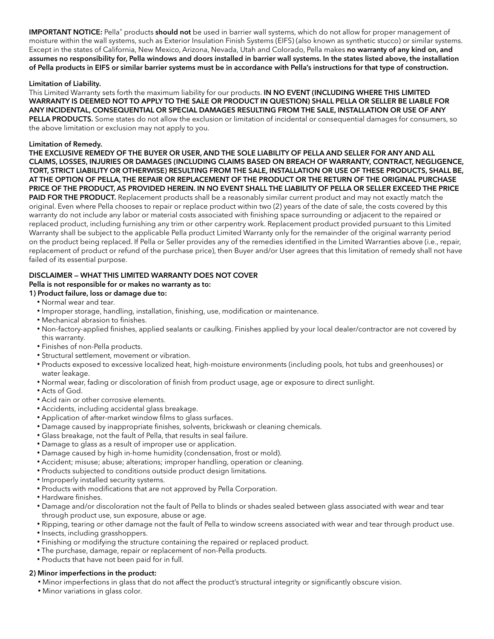IMPORTANT NOTICE: Pella® products should not be used in barrier wall systems, which do not allow for proper management of moisture within the wall systems, such as Exterior Insulation Finish Systems (EIFS) (also known as synthetic stucco) or similar systems. Except in the states of California, New Mexico, Arizona, Nevada, Utah and Colorado, Pella makes no warranty of any kind on, and assumes no responsibility for, Pella windows and doors installed in barrier wall systems. In the states listed above, the installation of Pella products in EIFS or similar barrier systems must be in accordance with Pella's instructions for that type of construction.

## Limitation of Liability.

 WARRANTY IS DEEMED NOT TO APPLY TO THE SALE OR PRODUCT IN QUESTION) SHALL PELLA OR SELLER BE LIABLE FOR This Limited Warranty sets forth the maximum liability for our products. IN NO EVENT (INCLUDING WHERE THIS LIMITED ANY INCIDENTAL, CONSEQUENTIAL OR SPECIAL DAMAGES RESULTING FROM THE SALE, INSTALLATION OR USE OF ANY PELLA PRODUCTS. Some states do not allow the exclusion or limitation of incidental or consequential damages for consumers, so the above limitation or exclusion may not apply to you.

## **Limitation of Remedy.**

Limitation of Remedy.<br>THE EXCLUSIVE REMEDY OF THE BUYER OR USER, AND THE SOLE LIABILITY OF PELLA AND SELLER FOR ANY AND ALL CLAIMS, LOSSES, INJURIES OR DAMAGES (INCLUDING CLAIMS BASED ON BREACH OF WARRANTY, CONTRACT, NEGLIGENCE, TORT, STRICT LIABILITY OR OTHERWISE) RESULTING FROM THE SALE, INSTALLATION OR USE OF THESE PRODUCTS, SHALL BE, AT THE OPTION OF PELLA, THE REPAIR OR REPLACEMENT OF THE PRODUCT OR THE RETURN OF THE ORIGINAL PURCHASE PRICE OF THE PRODUCT, AS PROVIDED HEREIN. IN NO EVENT SHALL THE LIABILITY OF PELLA OR SELLER EXCEED THE PRICE PAID FOR THE PRODUCT. Replacement products shall be a reasonably similar current product and may not exactly match the original. Even where Pella chooses to repair or replace product within two (2) years of the date of sale, the costs covered by this warranty do not include any labor or material costs associated with fnishing space surrounding or adjacent to the repaired or replaced product, including furnishing any trim or other carpentry work. Replacement product provided pursuant to this Limited Warranty shall be subject to the applicable Pella product Limited Warranty only for the remainder of the original warranty period on the product being replaced. If Pella or Seller provides any of the remedies identifed in the Limited Warranties above (i.e., repair, replacement of product or refund of the purchase price), then Buyer and/or User agrees that this limitation of remedy shall not have failed of its essential purpose.

# DISCLAIMER — WHAT THIS LIMITED WARRANTY DOES NOT COVER

# Pella is not responsible for or makes no warranty as to:

# 1) Product failure, loss or damage due to:

- Normal wear and tear.
- Improper storage, handling, installation, fnishing, use, modifcation or maintenance.
- Mechanical abrasion to finishes.
- Non-factory-applied fnishes, applied sealants or caulking. Finishes applied by your local dealer/contractor are not covered by this warranty.
- Finishes of non-Pella products.
- Structural settlement, movement or vibration.
- Products exposed to excessive localized heat, high-moisture environments (including pools, hot tubs and greenhouses) or water leakage.
- Normal wear, fading or discoloration of fnish from product usage, age or exposure to direct sunlight.
- Acts of God.
- Acid rain or other corrosive elements.
- Accidents, including accidental glass breakage.
- Application of after-market window flms to glass surfaces.
- Damage caused by inappropriate fnishes, solvents, brickwash or cleaning chemicals.
- Glass breakage, not the fault of Pella, that results in seal failure.
- Damage to glass as a result of improper use or application.
- Damage caused by high in-home humidity (condensation, frost or mold).
- Accident; misuse; abuse; alterations; improper handling, operation or cleaning.
- Products subjected to conditions outside product design limitations.
- Improperly installed security systems.
- Products with modifcations that are not approved by Pella Corporation.
- Hardware finishes.
- Damage and/or discoloration not the fault of Pella to blinds or shades sealed between glass associated with wear and tear through product use, sun exposure, abuse or age.
- Ripping, tearing or other damage not the fault of Pella to window screens associated with wear and tear through product use.
- Insects, including grasshoppers.
- Finishing or modifying the structure containing the repaired or replaced product.
- The purchase, damage, repair or replacement of non-Pella products.
- Products that have not been paid for in full.

#### 2) Minor imperfections in the product:

- Minor imperfections in glass that do not affect the product's structural integrity or signifcantly obscure vision.
- Minor variations in glass color.